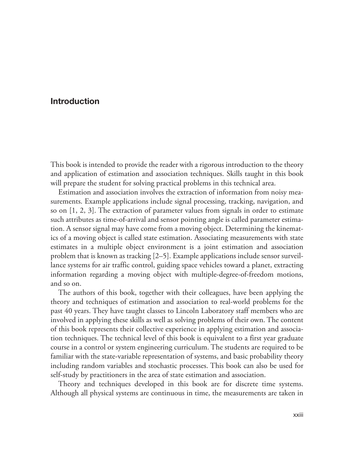# **Introduction**

 This book is intended to provide the reader with a rigorous introduction to the theory and application of estimation and association techniques. Skills taught in this book will prepare the student for solving practical problems in this technical area.

 Estimation and association involves the extraction of information from noisy measurements. Example applications include signal processing, tracking, navigation, and so on [1, 2, 3]. The extraction of parameter values from signals in order to estimate such attributes as time-of-arrival and sensor pointing angle is called parameter estimation. A sensor signal may have come from a moving object. Determining the kinematics of a moving object is called state estimation. Associating measurements with state estimates in a multiple object environment is a joint estimation and association problem that is known as tracking [2–5]. Example applications include sensor surveillance systems for air traffic control, guiding space vehicles toward a planet, extracting information regarding a moving object with multiple-degree-of-freedom motions, and so on.

 The authors of this book, together with their colleagues, have been applying the theory and techniques of estimation and association to real-world problems for the past 40 years. They have taught classes to Lincoln Laboratory staff members who are involved in applying these skills as well as solving problems of their own. The content of this book represents their collective experience in applying estimation and association techniques. The technical level of this book is equivalent to a first year graduate course in a control or system engineering curriculum. The students are required to be familiar with the state-variable representation of systems, and basic probability theory including random variables and stochastic processes. This book can also be used for self-study by practitioners in the area of state estimation and association.

 Theory and techniques developed in this book are for discrete time systems. Although all physical systems are continuous in time, the measurements are taken in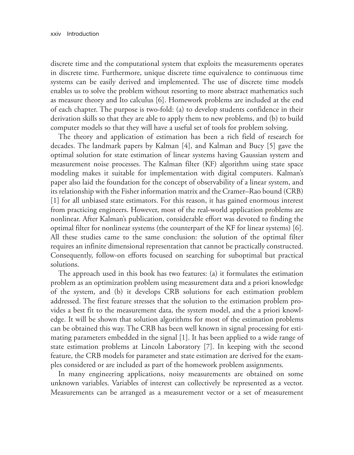discrete time and the computational system that exploits the measurements operates in discrete time. Furthermore, unique discrete time equivalence to continuous time systems can be easily derived and implemented. The use of discrete time models enables us to solve the problem without resorting to more abstract mathematics such as measure theory and Ito calculus [6]. Homework problems are included at the end of each chapter. The purpose is two-fold: (a) to develop students confidence in their derivation skills so that they are able to apply them to new problems, and (b) to build computer models so that they will have a useful set of tools for problem solving.

 The theory and application of estimation has been a rich field of research for decades. The landmark papers by Kalman [4], and Kalman and Bucy [5] gave the optimal solution for state estimation of linear systems having Gaussian system and measurement noise processes. The Kalman filter (KF) algorithm using state space modeling makes it suitable for implementation with digital computers. Kalman's paper also laid the foundation for the concept of observability of a linear system, and its relationship with the Fisher information matrix and the Cramer–Rao bound (CRB) [1] for all unbiased state estimators. For this reason, it has gained enormous interest from practicing engineers. However, most of the real-world application problems are nonlinear. After Kalman's publication, considerable effort was devoted to finding the optimal filter for nonlinear systems (the counterpart of the KF for linear systems) [6]. All these studies came to the same conclusion: the solution of the optimal filter requires an infinite dimensional representation that cannot be practically constructed. Consequently, follow-on efforts focused on searching for suboptimal but practical solutions.

 The approach used in this book has two features: (a) it formulates the estimation problem as an optimization problem using measurement data and a priori knowledge of the system, and (b) it develops CRB solutions for each estimation problem addressed. The first feature stresses that the solution to the estimation problem provides a best fit to the measurement data, the system model, and the a priori knowledge. It will be shown that solution algorithms for most of the estimation problems can be obtained this way. The CRB has been well known in signal processing for estimating parameters embedded in the signal [1]. It has been applied to a wide range of state estimation problems at Lincoln Laboratory [7]. In keeping with the second feature, the CRB models for parameter and state estimation are derived for the examples considered or are included as part of the homework problem assignments.

 In many engineering applications, noisy measurements are obtained on some unknown variables. Variables of interest can collectively be represented as a vector. Measurements can be arranged as a measurement vector or a set of measurement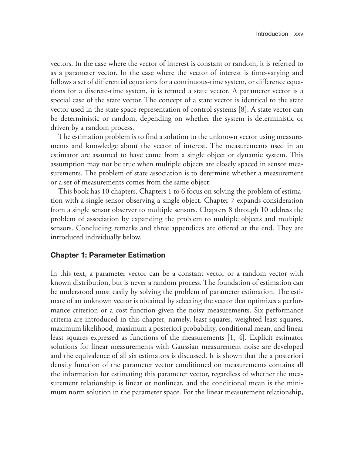vectors. In the case where the vector of interest is constant or random, it is referred to as a parameter vector. In the case where the vector of interest is time-varying and follows a set of differential equations for a continuous-time system, or difference equations for a discrete-time system, it is termed a state vector. A parameter vector is a special case of the state vector. The concept of a state vector is identical to the state vector used in the state space representation of control systems [8]. A state vector can be deterministic or random, depending on whether the system is deterministic or driven by a random process.

 The estimation problem is to find a solution to the unknown vector using measurements and knowledge about the vector of interest. The measurements used in an estimator are assumed to have come from a single object or dynamic system. This assumption may not be true when multiple objects are closely spaced in sensor measurements. The problem of state association is to determine whether a measurement or a set of measurements comes from the same object.

 This book has 10 chapters. Chapters 1 to 6 focus on solving the problem of estimation with a single sensor observing a single object. Chapter 7 expands consideration from a single sensor observer to multiple sensors. Chapters 8 through 10 address the problem of association by expanding the problem to multiple objects and multiple sensors. Concluding remarks and three appendices are offered at the end. They are introduced individually below.

#### **Chapter 1: Parameter Estimation**

 In this text, a parameter vector can be a constant vector or a random vector with known distribution, but is never a random process. The foundation of estimation can be understood most easily by solving the problem of parameter estimation. The estimate of an unknown vector is obtained by selecting the vector that optimizes a performance criterion or a cost function given the noisy measurements. Six performance criteria are introduced in this chapter, namely, least squares, weighted least squares, maximum likelihood, maximum a posteriori probability, conditional mean, and linear least squares expressed as functions of the measurements [1, 4]. Explicit estimator solutions for linear measurements with Gaussian measurement noise are developed and the equivalence of all six estimators is discussed. It is shown that the a posteriori density function of the parameter vector conditioned on measurements contains all the information for estimating this parameter vector, regardless of whether the measurement relationship is linear or nonlinear, and the conditional mean is the minimum norm solution in the parameter space. For the linear measurement relationship,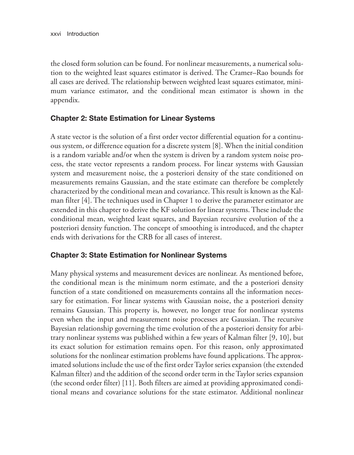the closed form solution can be found. For nonlinear measurements, a numerical solution to the weighted least squares estimator is derived. The Cramer–Rao bounds for all cases are derived. The relationship between weighted least squares estimator, minimum variance estimator, and the conditional mean estimator is shown in the appendix.

## **Chapter 2: State Estimation for Linear Systems**

 A state vector is the solution of a first order vector differential equation for a continuous system, or difference equation for a discrete system [8]. When the initial condition is a random variable and/or when the system is driven by a random system noise process, the state vector represents a random process. For linear systems with Gaussian system and measurement noise, the a posteriori density of the state conditioned on measurements remains Gaussian, and the state estimate can therefore be completely characterized by the conditional mean and covariance. This result is known as the Kalman filter [4]. The techniques used in Chapter 1 to derive the parameter estimator are extended in this chapter to derive the KF solution for linear systems. These include the conditional mean, weighted least squares, and Bayesian recursive evolution of the a posteriori density function. The concept of smoothing is introduced, and the chapter ends with derivations for the CRB for all cases of interest.

## **Chapter 3: State Estimation for Nonlinear Systems**

 Many physical systems and measurement devices are nonlinear. As mentioned before, the conditional mean is the minimum norm estimate, and the a posteriori density function of a state conditioned on measurements contains all the information necessary for estimation. For linear systems with Gaussian noise, the a posteriori density remains Gaussian. This property is, however, no longer true for nonlinear systems even when the input and measurement noise processes are Gaussian. The recursive Bayesian relationship governing the time evolution of the a posteriori density for arbitrary nonlinear systems was published within a few years of Kalman filter [9, 10], but its exact solution for estimation remains open. For this reason, only approximated solutions for the nonlinear estimation problems have found applications. The approximated solutions include the use of the first order Taylor series expansion (the extended Kalman filter) and the addition of the second order term in the Taylor series expansion (the second order filter) [11]. Both filters are aimed at providing approximated conditional means and covariance solutions for the state estimator. Additional nonlinear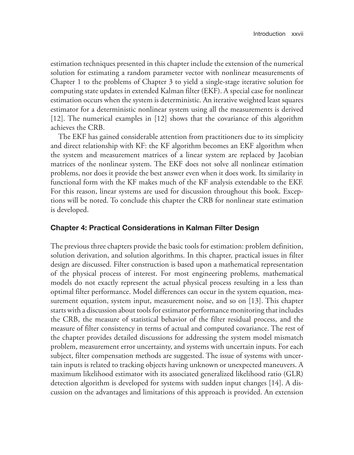estimation techniques presented in this chapter include the extension of the numerical solution for estimating a random parameter vector with nonlinear measurements of Chapter 1 to the problems of Chapter 3 to yield a single-stage iterative solution for computing state updates in extended Kalman filter (EKF). A special case for nonlinear estimation occurs when the system is deterministic. An iterative weighted least squares estimator for a deterministic nonlinear system using all the measurements is derived [12]. The numerical examples in [12] shows that the covariance of this algorithm achieves the CRB.

 The EKF has gained considerable attention from practitioners due to its simplicity and direct relationship with KF: the KF algorithm becomes an EKF algorithm when the system and measurement matrices of a linear system are replaced by Jacobian matrices of the nonlinear system. The EKF does not solve all nonlinear estimation problems, nor does it provide the best answer even when it does work. Its similarity in functional form with the KF makes much of the KF analysis extendable to the EKF. For this reason, linear systems are used for discussion throughout this book. Exceptions will be noted. To conclude this chapter the CRB for nonlinear state estimation is developed.

### **Chapter 4: Practical Considerations in Kalman Filter Design**

 The previous three chapters provide the basic tools for estimation: problem definition, solution derivation, and solution algorithms. In this chapter, practical issues in filter design are discussed. Filter construction is based upon a mathematical representation of the physical process of interest. For most engineering problems, mathematical models do not exactly represent the actual physical process resulting in a less than optimal filter performance. Model differences can occur in the system equation, measurement equation, system input, measurement noise, and so on [13]. This chapter starts with a discussion about tools for estimator performance monitoring that includes the CRB, the measure of statistical behavior of the filter residual process, and the measure of filter consistency in terms of actual and computed covariance. The rest of the chapter provides detailed discussions for addressing the system model mismatch problem, measurement error uncertainty, and systems with uncertain inputs. For each subject, filter compensation methods are suggested. The issue of systems with uncertain inputs is related to tracking objects having unknown or unexpected maneuvers. A maximum likelihood estimator with its associated generalized likelihood ratio (GLR) detection algorithm is developed for systems with sudden input changes [14]. A discussion on the advantages and limitations of this approach is provided. An extension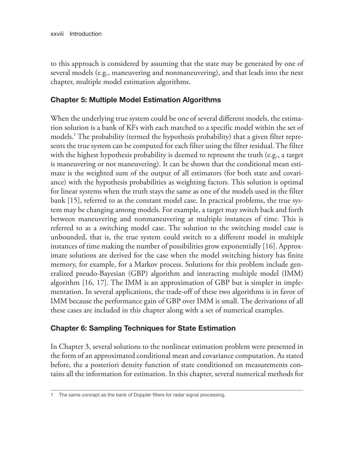to this approach is considered by assuming that the state may be generated by one of several models (e.g., maneuvering and nonmaneuvering), and that leads into the next chapter, multiple model estimation algorithms.

## **Chapter 5: Multiple Model Estimation Algorithms**

 When the underlying true system could be one of several different models, the estimation solution is a bank of KFs with each matched to a specific model within the set of models.<sup>1</sup> The probability (termed the hypothesis probability) that a given filter represents the true system can be computed for each filter using the filter residual. The filter with the highest hypothesis probability is deemed to represent the truth (e.g., a target is maneuvering or not maneuvering). It can be shown that the conditional mean estimate is the weighted sum of the output of all estimators (for both state and covariance) with the hypothesis probabilities as weighting factors. This solution is optimal for linear systems when the truth stays the same as one of the models used in the filter bank [15], referred to as the constant model case. In practical problems, the true system may be changing among models. For example, a target may switch back and forth between maneuvering and nonmaneuvering at multiple instances of time. This is referred to as a switching model case. The solution to the switching model case is unbounded, that is, the true system could switch to a different model in multiple instances of time making the number of possibilities grow exponentially [16]. Approximate solutions are derived for the case when the model switching history has finite memory, for example, for a Markov process. Solutions for this problem include generalized pseudo-Bayesian (GBP) algorithm and interacting multiple model (IMM) algorithm [16, 17]. The IMM is an approximation of GBP but is simpler in implementation. In several applications, the trade-off of these two algorithms is in favor of IMM because the performance gain of GBP over IMM is small. The derivations of all these cases are included in this chapter along with a set of numerical examples.

## **Chapter 6: Sampling Techniques for State Estimation**

 In Chapter 3, several solutions to the nonlinear estimation problem were presented in the form of an approximated conditional mean and covariance computation. As stated before, the a posteriori density function of state conditioned on measurements contains all the information for estimation. In this chapter, several numerical methods for

<sup>1</sup> The same concept as the bank of Doppler filters for radar signal processing.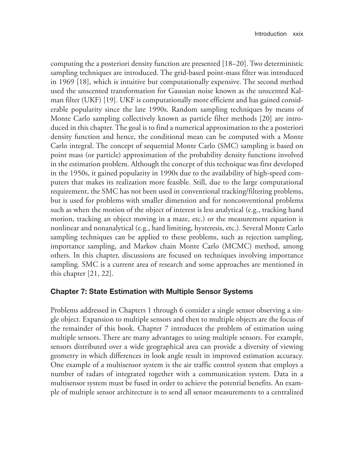computing the a posteriori density function are presented [18–20]. Two deterministic sampling techniques are introduced. The grid-based point-mass filter was introduced in 1969 [18], which is intuitive but computationally expensive. The second method used the unscented transformation for Gaussian noise known as the unscented Kalman filter (UKF) [19]. UKF is computationally more efficient and has gained considerable popularity since the late 1990s. Random sampling techniques by means of Monte Carlo sampling collectively known as particle filter methods [20] are introduced in this chapter. The goal is to find a numerical approximation to the a posteriori density function and hence, the conditional mean can be computed with a Monte Carlo integral. The concept of sequential Monte Carlo (SMC) sampling is based on point mass (or particle) approximation of the probability density functions involved in the estimation problem. Although the concept of this technique was first developed in the 1950s, it gained popularity in 1990s due to the availability of high-speed computers that makes its realization more feasible. Still, due to the large computational requirement, the SMC has not been used in conventional tracking/filtering problems, but is used for problems with smaller dimension and for nonconventional problems such as when the motion of the object of interest is less analytical (e.g., tracking hand motion, tracking an object moving in a maze, etc.) or the measurement equation is nonlinear and nonanalytical (e.g., hard limiting, hysteresis, etc.). Several Monte Carlo sampling techniques can be applied to these problems, such as rejection sampling, importance sampling, and Markov chain Monte Carlo (MCMC) method, among others. In this chapter, discussions are focused on techniques involving importance sampling. SMC is a current area of research and some approaches are mentioned in this chapter [21, 22].

### **Chapter 7: State Estimation with Multiple Sensor Systems**

 Problems addressed in Chapters 1 through 6 consider a single sensor observing a single object. Expansion to multiple sensors and then to multiple objects are the focus of the remainder of this book. Chapter 7 introduces the problem of estimation using multiple sensors. There are many advantages to using multiple sensors. For example, sensors distributed over a wide geographical area can provide a diversity of viewing geometry in which differences in look angle result in improved estimation accuracy. One example of a multisensor system is the air traffic control system that employs a number of radars of integrated together with a communication system. Data in a multisensor system must be fused in order to achieve the potential benefits. An example of multiple sensor architecture is to send all sensor measurements to a centralized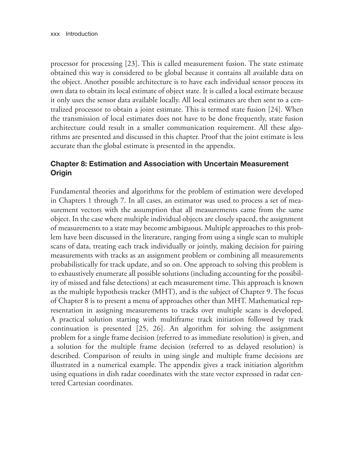processor for processing [23]. This is called measurement fusion. The state estimate obtained this way is considered to be global because it contains all available data on the object. Another possible architecture is to have each individual sensor process its own data to obtain its local estimate of object state. It is called a local estimate because it only uses the sensor data available locally. All local estimates are then sent to a centralized processor to obtain a joint estimate. This is termed state fusion [24]. When the transmission of local estimates does not have to be done frequently, state fusion architecture could result in a smaller communication requirement. All these algorithms are presented and discussed in this chapter. Proof that the joint estimate is less accurate than the global estimate is presented in the appendix.

## **Chapter 8: Estimation and Association with Uncertain Measurement Origin**

 Fundamental theories and algorithms for the problem of estimation were developed in Chapters 1 through 7. In all cases, an estimator was used to process a set of measurement vectors with the assumption that all measurements came from the same object. In the case where multiple individual objects are closely spaced, the assignment of measurements to a state may become ambiguous. Multiple approaches to this problem have been discussed in the literature, ranging from using a single scan to multiple scans of data, treating each track individually or jointly, making decision for pairing measurements with tracks as an assignment problem or combining all measurements probabilistically for track update, and so on. One approach to solving this problem is to exhaustively enumerate all possible solutions (including accounting for the possibility of missed and false detections) at each measurement time. This approach is known as the multiple hypothesis tracker (MHT), and is the subject of Chapter 9. The focus of Chapter 8 is to present a menu of approaches other than MHT. Mathematical representation in assigning measurements to tracks over multiple scans is developed. A practical solution starting with multiframe track initiation followed by track continuation is presented [25, 26]. An algorithm for solving the assignment problem for a single frame decision (referred to as immediate resolution) is given, and a solution for the multiple frame decision (referred to as delayed resolution) is described. Comparison of results in using single and multiple frame decisions are illustrated in a numerical example. The appendix gives a track initiation algorithm using equations in dish radar coordinates with the state vector expressed in radar centered Cartesian coordinates.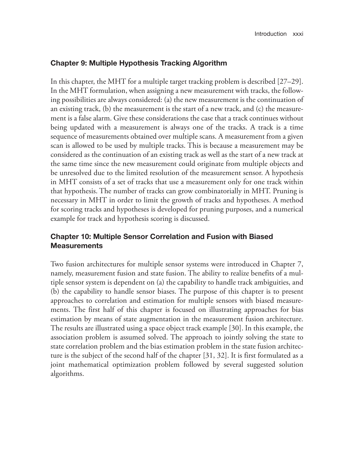### **Chapter 9: Multiple Hypothesis Tracking Algorithm**

 In this chapter, the MHT for a multiple target tracking problem is described [27–29]. In the MHT formulation, when assigning a new measurement with tracks, the following possibilities are always considered: (a) the new measurement is the continuation of an existing track, (b) the measurement is the start of a new track, and (c) the measurement is a false alarm. Give these considerations the case that a track continues without being updated with a measurement is always one of the tracks. A track is a time sequence of measurements obtained over multiple scans. A measurement from a given scan is allowed to be used by multiple tracks. This is because a measurement may be considered as the continuation of an existing track as well as the start of a new track at the same time since the new measurement could originate from multiple objects and be unresolved due to the limited resolution of the measurement sensor. A hypothesis in MHT consists of a set of tracks that use a measurement only for one track within that hypothesis. The number of tracks can grow combinatorially in MHT. Pruning is necessary in MHT in order to limit the growth of tracks and hypotheses. A method for scoring tracks and hypotheses is developed for pruning purposes, and a numerical example for track and hypothesis scoring is discussed.

## **Chapter 10: Multiple Sensor Correlation and Fusion with Biased Measurements**

 Two fusion architectures for multiple sensor systems were introduced in Chapter 7, namely, measurement fusion and state fusion. The ability to realize benefits of a multiple sensor system is dependent on (a) the capability to handle track ambiguities, and (b) the capability to handle sensor biases. The purpose of this chapter is to present approaches to correlation and estimation for multiple sensors with biased measurements. The first half of this chapter is focused on illustrating approaches for bias estimation by means of state augmentation in the measurement fusion architecture. The results are illustrated using a space object track example [30]. In this example, the association problem is assumed solved. The approach to jointly solving the state to state correlation problem and the bias estimation problem in the state fusion architecture is the subject of the second half of the chapter [31, 32]. It is first formulated as a joint mathematical optimization problem followed by several suggested solution algorithms.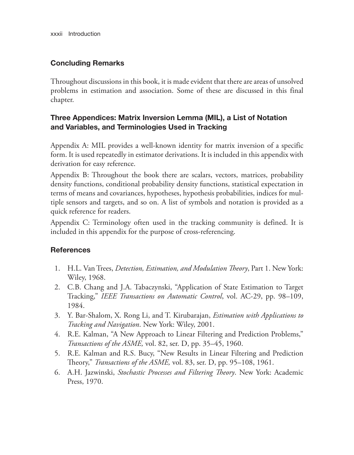xxxii Introduction

## **Concluding Remarks**

 Throughout discussions in this book, it is made evident that there are areas of unsolved problems in estimation and association. Some of these are discussed in this final chapter.

## **Three Appendices: Matrix Inversion Lemma (MIL), a List of Notation and Variables, and Terminologies Used in Tracking**

 Appendix A: MIL provides a well-known identity for matrix inversion of a specific form. It is used repeatedly in estimator derivations. It is included in this appendix with derivation for easy reference.

 Appendix B: Throughout the book there are scalars, vectors, matrices, probability density functions, conditional probability density functions, statistical expectation in terms of means and covariances, hypotheses, hypothesis probabilities, indices for multiple sensors and targets, and so on. A list of symbols and notation is provided as a quick reference for readers.

 Appendix C: Terminology often used in the tracking community is defined. It is included in this appendix for the purpose of cross-referencing.

## **References**

- 1. H.L. Van Trees, *Detection, Estimation, and Modulation Th eory* , Part 1. New York: Wiley, 1968.
- 2. C.B. Chang and J.A. Tabaczynski, "Application of State Estimation to Target Tracking," *IEEE Transactions on Automatic Control* , vol. AC-29, pp. 98–109, 1984.
- 3. Y. Bar-Shalom, X. Rong Li, and T. Kirubarajan, *Estimation with Applications to Tracking and Navigation* . New York: Wiley, 2001.
- 4. R.E. Kalman, "A New Approach to Linear Filtering and Prediction Problems," *Transactions of the ASME,* vol. 82, ser. D, pp. 35–45, 1960.
- 5. R.E. Kalman and R.S. Bucy, "New Results in Linear Filtering and Prediction Th eory," *Transactions of the ASME,* vol. 83, ser. D, pp. 95–108, 1961.
- 6. A.H. Jazwinski, *Stochastic Processes and Filtering Theory*. New York: Academic Press, 1970.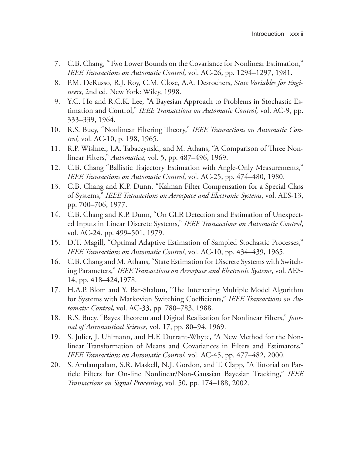- 7. C.B. Chang, "Two Lower Bounds on the Covariance for Nonlinear Estimation," *IEEE Transactions on Automatic Control*, vol. AC-26, pp. 1294–1297, 1981.
- 8. P.M. DeRusso, R.J. Roy, C.M. Close, A.A. Desrochers, *State Variables for Engineers* , 2nd ed. New York: Wiley, 1998.
- 9. Y.C. Ho and R.C.K. Lee, "A Bayesian Approach to Problems in Stochastic Estimation and Control," *IEEE Transactions on Automatic Control,* vol. AC-9, pp. 333–339, 1964.
- 10. R.S. Bucy, "Nonlinear Filtering Theory," *IEEE Transactions on Automatic Control,* vol. AC-10, p. 198, 1965.
- 11. R.P. Wishner, J.A. Tabaczynski, and M. Athans, "A Comparison of Three Nonlinear Filters," *Automatica,* vol. 5, pp. 487–496, 1969.
- 12. C.B. Chang "Ballistic Trajectory Estimation with Angle-Only Measurements," *IEEE Transactions on Automatic Control*, vol. AC-25, pp. 474–480, 1980.
- 13. C.B. Chang and K.P. Dunn, "Kalman Filter Compensation for a Special Class of Systems," *IEEE Transactions on Aerospace and Electronic Systems* , vol. AES-13, pp. 700–706, 1977.
- 14. C.B. Chang and K.P. Dunn, "On GLR Detection and Estimation of Unexpected Inputs in Linear Discrete Systems," IEEE Transactions on Automatic Control, vol. AC-24. pp. 499–501, 1979.
- 15. D.T. Magill, "Optimal Adaptive Estimation of Sampled Stochastic Processes," *IEEE Transactions on Automatic Control* , vol. AC-10, pp. 434–439, 1965.
- 16. C.B. Chang and M. Athans, "State Estimation for Discrete Systems with Switching Parameters," *IEEE Transactions on Aerospace and Electronic Systems* , vol. AES-14, pp. 418–424,1978.
- 17. H.A.P. Blom and Y. Bar-Shalom, "The Interacting Multiple Model Algorithm for Systems with Markovian Switching Coefficients," IEEE Transactions on Au*tomatic Control*, vol. AC-33, pp. 780–783, 1988.
- 18. R.S. Bucy. "Bayes Theorem and Digital Realization for Nonlinear Filters," *Journal of Astronautical Science*, vol. 17, pp. 80–94, 1969.
- 19. S. Julier, J. Uhlmann, and H.F. Durrant-Whyte, "A New Method for the Nonlinear Transformation of Means and Covariances in Filters and Estimators," *IEEE Transactions on Automatic Control,* vol. AC-45, pp. 477–482, 2000.
- 20. S. Arulampalam, S.R. Maskell, N.J. Gordon, and T. Clapp, "A Tutorial on Particle Filters for On-line Nonlinear/Non-Gaussian Bayesian Tracking," *IEEE Transactions on Signal Processing* , vol. 50, pp. 174–188, 2002.